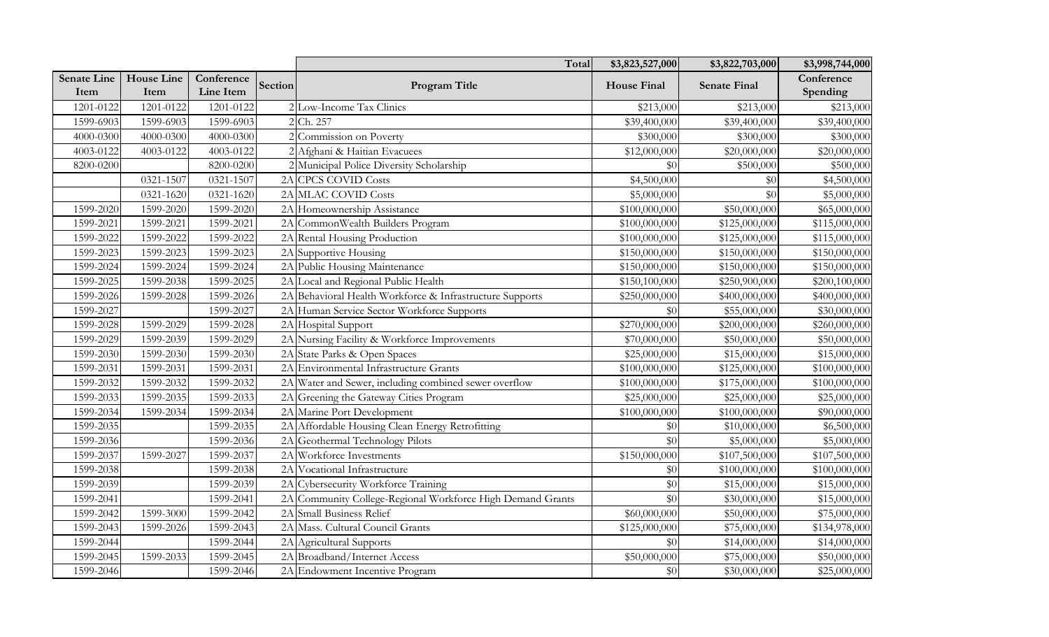|                            |                           |                         |         | Total                                                      | \$3,823,527,000    | \$3,822,703,000     | \$3,998,744,000        |
|----------------------------|---------------------------|-------------------------|---------|------------------------------------------------------------|--------------------|---------------------|------------------------|
| <b>Senate Line</b><br>Item | <b>House Line</b><br>Item | Conference<br>Line Item | Section | Program Title                                              | <b>House Final</b> | <b>Senate Final</b> | Conference<br>Spending |
| 1201-0122                  | 1201-0122                 | 1201-0122               |         | 2 Low-Income Tax Clinics                                   | \$213,000          | \$213,000           | \$213,000              |
| 1599-6903                  | 1599-6903                 | 1599-6903               |         | 2 Ch. 257                                                  | \$39,400,000       | \$39,400,000        | \$39,400,000           |
| 4000-0300                  | 4000-0300                 | 4000-0300               |         | 2 Commission on Poverty                                    | \$300,000          | \$300,000           | \$300,000              |
| 4003-0122                  | 4003-0122                 | 4003-0122               |         | Afghani & Haitian Evacuees                                 | \$12,000,000       | \$20,000,000        | \$20,000,000           |
| 8200-0200                  |                           | 8200-0200               |         | 2 Municipal Police Diversity Scholarship                   | \$0                | \$500,000           | \$500,000              |
|                            | 0321-1507                 | 0321-1507               |         | 2A CPCS COVID Costs                                        | \$4,500,000        | \$0                 | \$4,500,000            |
|                            | 0321-1620                 | 0321-1620               |         | 2A MLAC COVID Costs                                        | \$5,000,000        | \$0                 | \$5,000,000            |
| 1599-2020                  | 1599-2020                 | 1599-2020               |         | 2A Homeownership Assistance                                | \$100,000,000      | \$50,000,000        | \$65,000,000           |
| 1599-2021                  | 1599-2021                 | 1599-2021               |         | 2A CommonWealth Builders Program                           | \$100,000,000      | \$125,000,000       | \$115,000,000          |
| 1599-2022                  | 1599-2022                 | 1599-2022               |         | 2A Rental Housing Production                               | \$100,000,000      | \$125,000,000       | \$115,000,000          |
| 1599-2023                  | 1599-2023                 | 1599-2023               |         | 2A Supportive Housing                                      | \$150,000,000      | \$150,000,000       | \$150,000,000          |
| 1599-2024                  | 1599-2024                 | 1599-2024               |         | 2A Public Housing Maintenance                              | \$150,000,000      | \$150,000,000       | \$150,000,000          |
| 1599-2025                  | 1599-2038                 | 1599-2025               |         | 2A Local and Regional Public Health                        | \$150,100,000      | \$250,900,000       | \$200,100,000          |
| 1599-2026                  | 1599-2028                 | 1599-2026               |         | 2A Behavioral Health Workforce & Infrastructure Supports   | \$250,000,000      | \$400,000,000       | \$400,000,000          |
| 1599-2027                  |                           | 1599-2027               |         | 2A Human Service Sector Workforce Supports                 | \$0                | \$55,000,000        | \$30,000,000           |
| 1599-2028                  | 1599-2029                 | 1599-2028               |         | 2A Hospital Support                                        | \$270,000,000      | \$200,000,000       | \$260,000,000          |
| 1599-2029                  | 1599-2039                 | 1599-2029               |         | 2A Nursing Facility & Workforce Improvements               | \$70,000,000       | \$50,000,000        | \$50,000,000           |
| 1599-2030                  | 1599-2030                 | 1599-2030               |         | 2A State Parks & Open Spaces                               | \$25,000,000       | \$15,000,000        | \$15,000,000           |
| 1599-2031                  | 1599-2031                 | 1599-2031               |         | 2A Environmental Infrastructure Grants                     | \$100,000,000      | \$125,000,000       | \$100,000,000          |
| 1599-2032                  | 1599-2032                 | 1599-2032               |         | 2A Water and Sewer, including combined sewer overflow      | \$100,000,000      | \$175,000,000       | \$100,000,000          |
| 1599-2033                  | 1599-2035                 | 1599-2033               |         | 2A Greening the Gateway Cities Program                     | \$25,000,000       | \$25,000,000        | \$25,000,000           |
| 1599-2034                  | 1599-2034                 | 1599-2034               |         | 2A Marine Port Development                                 | \$100,000,000      | \$100,000,000       | \$90,000,000           |
| 1599-2035                  |                           | 1599-2035               |         | 2A Affordable Housing Clean Energy Retrofitting            | \$0                | \$10,000,000        | \$6,500,000            |
| 1599-2036                  |                           | 1599-2036               |         | 2A Geothermal Technology Pilots                            | \$0                | \$5,000,000         | \$5,000,000            |
| 1599-2037                  | 1599-2027                 | 1599-2037               |         | 2A Workforce Investments                                   | \$150,000,000      | \$107,500,000       | \$107,500,000          |
| 1599-2038                  |                           | 1599-2038               |         | 2A Vocational Infrastructure                               | \$0                | \$100,000,000       | \$100,000,000          |
| 1599-2039                  |                           | 1599-2039               |         | 2A Cybersecurity Workforce Training                        | \$0                | \$15,000,000        | \$15,000,000           |
| 1599-2041                  |                           | 1599-2041               |         | 2A Community College-Regional Workforce High Demand Grants | \$0                | \$30,000,000        | \$15,000,000           |
| 1599-2042                  | 1599-3000                 | 1599-2042               |         | 2A Small Business Relief                                   | \$60,000,000       | \$50,000,000        | \$75,000,000           |
| 1599-2043                  | 1599-2026                 | 1599-2043               |         | 2A Mass. Cultural Council Grants                           | \$125,000,000      | \$75,000,000        | \$134,978,000          |
| 1599-2044                  |                           | 1599-2044               |         | 2A Agricultural Supports                                   | \$0                | \$14,000,000        | \$14,000,000           |
| 1599-2045                  | 1599-2033                 | 1599-2045               |         | 2A Broadband/Internet Access                               | \$50,000,000       | \$75,000,000        | \$50,000,000           |
| 1599-2046                  |                           | 1599-2046               |         | 2A Endowment Incentive Program                             | \$0                | \$30,000,000        | \$25,000,000           |